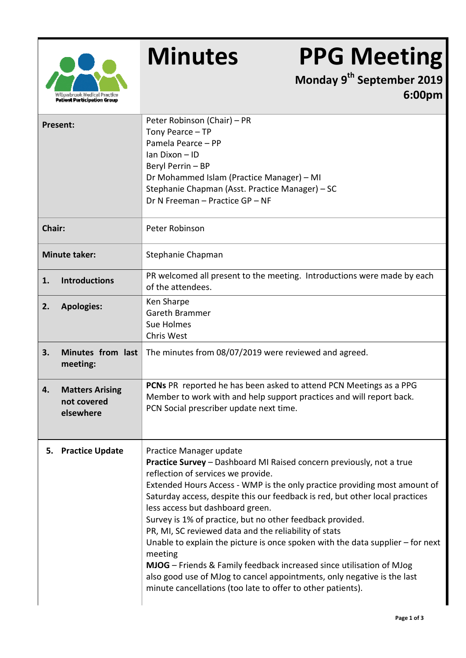

## **Minutes PPG Meeting**

**Monday 9th September 2019 6:00pm**

|                            | <b>Present:</b>                                    | Peter Robinson (Chair) - PR<br>Tony Pearce - TP<br>Pamela Pearce - PP<br>Ian Dixon - ID<br>Beryl Perrin - BP<br>Dr Mohammed Islam (Practice Manager) - MI<br>Stephanie Chapman (Asst. Practice Manager) - SC<br>Dr N Freeman - Practice GP - NF                                                                                                                                                                                                                                                                                                                                                                                                                                                                                                                             |  |  |
|----------------------------|----------------------------------------------------|-----------------------------------------------------------------------------------------------------------------------------------------------------------------------------------------------------------------------------------------------------------------------------------------------------------------------------------------------------------------------------------------------------------------------------------------------------------------------------------------------------------------------------------------------------------------------------------------------------------------------------------------------------------------------------------------------------------------------------------------------------------------------------|--|--|
| Chair:                     |                                                    | Peter Robinson                                                                                                                                                                                                                                                                                                                                                                                                                                                                                                                                                                                                                                                                                                                                                              |  |  |
| <b>Minute taker:</b>       |                                                    | Stephanie Chapman                                                                                                                                                                                                                                                                                                                                                                                                                                                                                                                                                                                                                                                                                                                                                           |  |  |
| <b>Introductions</b><br>1. |                                                    | PR welcomed all present to the meeting. Introductions were made by each<br>of the attendees.                                                                                                                                                                                                                                                                                                                                                                                                                                                                                                                                                                                                                                                                                |  |  |
| 2.                         | <b>Apologies:</b>                                  | Ken Sharpe<br>Gareth Brammer<br>Sue Holmes<br>Chris West                                                                                                                                                                                                                                                                                                                                                                                                                                                                                                                                                                                                                                                                                                                    |  |  |
| 3.                         | Minutes from last<br>meeting:                      | The minutes from 08/07/2019 were reviewed and agreed.                                                                                                                                                                                                                                                                                                                                                                                                                                                                                                                                                                                                                                                                                                                       |  |  |
| 4.                         | <b>Matters Arising</b><br>not covered<br>elsewhere | PCNs PR reported he has been asked to attend PCN Meetings as a PPG<br>Member to work with and help support practices and will report back.<br>PCN Social prescriber update next time.                                                                                                                                                                                                                                                                                                                                                                                                                                                                                                                                                                                       |  |  |
|                            | 5. Practice Update                                 | Practice Manager update<br>Practice Survey - Dashboard MI Raised concern previously, not a true<br>reflection of services we provide.<br>Extended Hours Access - WMP is the only practice providing most amount of<br>Saturday access, despite this our feedback is red, but other local practices<br>less access but dashboard green.<br>Survey is 1% of practice, but no other feedback provided.<br>PR, MI, SC reviewed data and the reliability of stats<br>Unable to explain the picture is once spoken with the data supplier - for next<br>meeting<br>MJOG - Friends & Family feedback increased since utilisation of MJog<br>also good use of MJog to cancel appointments, only negative is the last<br>minute cancellations (too late to offer to other patients). |  |  |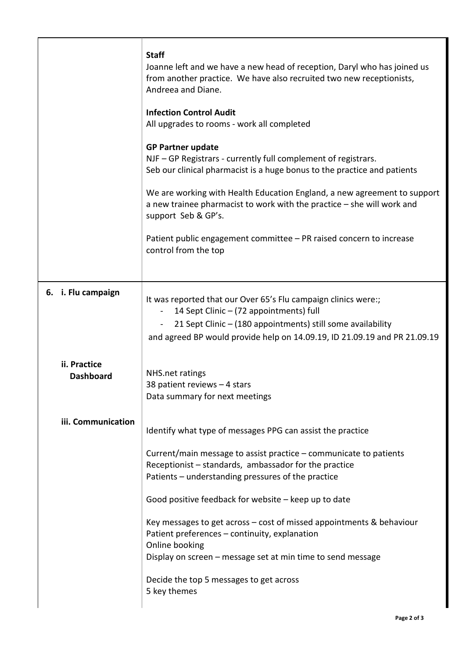|                                                        |                    | <b>Staff</b><br>Joanne left and we have a new head of reception, Daryl who has joined us<br>from another practice. We have also recruited two new receptionists,<br>Andreea and Diane.                                                                                  |
|--------------------------------------------------------|--------------------|-------------------------------------------------------------------------------------------------------------------------------------------------------------------------------------------------------------------------------------------------------------------------|
|                                                        |                    | <b>Infection Control Audit</b><br>All upgrades to rooms - work all completed                                                                                                                                                                                            |
|                                                        |                    | <b>GP Partner update</b><br>NJF - GP Registrars - currently full complement of registrars.<br>Seb our clinical pharmacist is a huge bonus to the practice and patients                                                                                                  |
|                                                        |                    | We are working with Health Education England, a new agreement to support<br>a new trainee pharmacist to work with the practice $-$ she will work and<br>support Seb & GP's.                                                                                             |
|                                                        |                    | Patient public engagement committee - PR raised concern to increase<br>control from the top                                                                                                                                                                             |
|                                                        | 6. i. Flu campaign | It was reported that our Over 65's Flu campaign clinics were:;<br>14 Sept Clinic - (72 appointments) full<br>$\blacksquare$<br>21 Sept Clinic - (180 appointments) still some availability<br>and agreed BP would provide help on 14.09.19, ID 21.09.19 and PR 21.09.19 |
| ii. Practice<br><b>Dashboard</b><br>iii. Communication |                    | NHS.net ratings<br>38 patient reviews $-4$ stars<br>Data summary for next meetings                                                                                                                                                                                      |
|                                                        |                    | Identify what type of messages PPG can assist the practice                                                                                                                                                                                                              |
|                                                        |                    | Current/main message to assist practice – communicate to patients<br>Receptionist - standards, ambassador for the practice<br>Patients - understanding pressures of the practice                                                                                        |
|                                                        |                    | Good positive feedback for website – keep up to date                                                                                                                                                                                                                    |
|                                                        |                    | Key messages to get across $-$ cost of missed appointments & behaviour<br>Patient preferences – continuity, explanation<br>Online booking<br>Display on screen - message set at min time to send message                                                                |
|                                                        |                    | Decide the top 5 messages to get across<br>5 key themes                                                                                                                                                                                                                 |